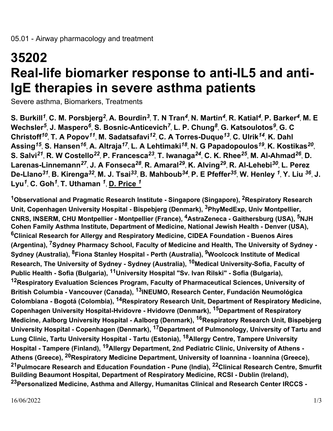## **35202 Real-life biomarker response to anti-IL5 and anti-IgE therapies in severe asthma patients**

Severe asthma, Biomarkers, Treatments

**S. Burkill***<sup>1</sup>* , **C. M. Porsbjerg***<sup>2</sup>* , **A. Bourdin***<sup>3</sup>* , **T. N Tran***<sup>4</sup>* , **N. Martin***<sup>4</sup>* , **R. Katial***<sup>4</sup>* , **P. Barker***<sup>4</sup>* , **M. E Wechsler***<sup>5</sup>* , **J. Maspero***<sup>6</sup>* , **S. Bosnic-Anticevich***<sup>7</sup>* , **L. P. Chung***<sup>8</sup>* , **G. Katsoulotos***<sup>9</sup>* , **G. C Christoff***<sup>10</sup>* , **T. A Popov***<sup>11</sup>* , **M. Sadatsafavi***<sup>12</sup>* , **C. A Torres-Duque***<sup>13</sup>* , **C. Ulrik***<sup>14</sup>* , **K. Dahl Assing***<sup>15</sup>* , **S. Hansen***<sup>16</sup>* , **A. Altraja***<sup>17</sup>* , **L. A Lehtimaki***<sup>18</sup>* , **N. G Papadopoulos***<sup>19</sup>* , **K. Kostikas***<sup>20</sup>* , **S. Salvi***<sup>21</sup>* , **R. W Costello***<sup>22</sup>* , **P. Francesca***<sup>23</sup>* , **T. Iwanaga***<sup>24</sup>* , **C. K. Rhee***<sup>25</sup>* , **M. Al-Ahmad***<sup>26</sup>* , **D. Larenas-Linnemann***<sup>27</sup>* , **J. A Fonseca***<sup>28</sup>* , **R. Amaral***<sup>29</sup>* , **K. Alving***<sup>29</sup>* , **R. Al-Lehebi***<sup>30</sup>* , **L. Perez De-Llano***<sup>31</sup>* , **B. Kirenga***<sup>32</sup>* , **M. J. Tsai***<sup>33</sup>* , **B. Mahboub***<sup>34</sup>* , **P. E Pfeffer***<sup>35</sup>* , **W. Henley** *<sup>1</sup>* , **Y. Liu** *<sup>36</sup>* , **J. Lyu***<sup>1</sup>* , **C. Goh***<sup>1</sup>* , **T. Uthaman** *<sup>1</sup>* , **D. Price** *<sup>1</sup>*

**<sup>1</sup>Observational and Pragmatic Research Institute - Singapore (Singapore), 2Respiratory Research Unit, Copenhagen University Hospital - Bispebjerg (Denmark), 3PhyMedExp, Univ Montpellier, CNRS, INSERM, CHU Montpellier - Montpellier (France), 4AstraZeneca - Gaithersburg (USA), 5NJH Cohen Family Asthma Institute, Department of Medicine, National Jewish Health - Denver (USA), <sup>6</sup>Clinical Research for Allergy and Respiratory Medicine, CIDEA Foundation - Buenos Aires (Argentina), 7Sydney Pharmacy School, Faculty of Medicine and Health, The University of Sydney - Sydney (Australia), 8Fiona Stanley Hospital - Perth (Australia), 9Woolcock Institute of Medical Research, The University of Sydney - Sydney (Australia), 10Medical University-Sofia, Faculty of Public Health - Sofia (Bulgaria), 11University Hospital "Sv. Ivan Rilski" - Sofia (Bulgaria), <sup>12</sup>Respiratory Evaluation Sciences Program, Faculty of Pharmaceutical Sciences, University of British Columbia - Vancouver (Canada), 13INEUMO, Research Center, Fundación Neumológica Colombiana - Bogotá (Colombia), 14Respiratory Research Unit, Department of Respiratory Medicine, Copenhagen University Hospital-Hvidovre - Hvidovre (Denmark), 15Department of Respiratory Medicine, Aalborg University Hospital - Aalborg (Denmark), 16Respiratory Research Unit, Bispebjerg University Hospital - Copenhagen (Denmark), 17Department of Pulmonology, University of Tartu and Lung Clinic, Tartu University Hospital - Tartu (Estonia), 18Allergy Centre, Tampere University Hospital - Tampere (Finland), 19Allergy Department, 2nd Pediatric Clinic, University of Athens - Athens (Greece), 20Respiratory Medicine Department, University of Ioannina - Ioannina (Greece), <sup>21</sup>Pulmocare Research and Education Foundation - Pune (India), 22Clinical Research Centre, Smurfit Building Beaumont Hospital, Department of Respiratory Medicine, RCSI - Dublin (Ireland), <sup>23</sup>Personalized Medicine, Asthma and Allergy, Humanitas Clinical and Research Center IRCCS -**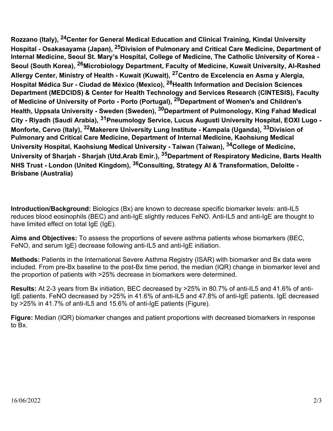**Rozzano (Italy), 24Center for General Medical Education and Clinical Training, Kindai University Hospital - Osakasayama (Japan), 25Division of Pulmonary and Critical Care Medicine, Department of Internal Medicine, Seoul St. Mary's Hospital, College of Medicine, The Catholic University of Korea - Seoul (South Korea), 26Microbiology Department, Faculty of Medicine, Kuwait University, Al-Rashed Allergy Center, Ministry of Health - Kuwait (Kuwait), 27Centro de Excelencia en Asma y Alergia, Hospital Médica Sur - Ciudad de México (Mexico), 28Health Information and Decision Sciences Department (MEDCIDS) & Center for Health Technology and Services Research (CINTESIS), Faculty of Medicine of University of Porto - Porto (Portugal), 29Department of Women's and Children's Health, Uppsala University - Sweden (Sweden), 30Department of Pulmonology, King Fahad Medical City - Riyadh (Saudi Arabia), 31Pneumology Service, Lucus Augusti University Hospital, EOXI Lugo - Monforte, Cervo (Italy), 32Makerere University Lung Institute - Kampala (Uganda), 33Division of Pulmonary and Critical Care Medicine, Department of Internal Medicine, Kaohsiung Medical University Hospital, Kaohsiung Medical University - Taiwan (Taiwan), 34College of Medicine, University of Sharjah - Sharjah (Utd.Arab Emir.), 35Department of Respiratory Medicine, Barts Health NHS Trust - London (United Kingdom), 36Consulting, Strategy AI & Transformation, Deloitte - Brisbane (Australia)**

**Introduction/Background:** Biologics (Bx) are known to decrease specific biomarker levels: anti-IL5 reduces blood eosinophils (BEC) and anti-IgE slightly reduces FeNO. Anti-IL5 and anti-IgE are thought to have limited effect on total IgE (IgE).

**Aims and Objectives:** To assess the proportions of severe asthma patients whose biomarkers (BEC, FeNO, and serum IgE) decrease following anti-IL5 and anti-IgE initiation.

**Methods:** Patients in the International Severe Asthma Registry (ISAR) with biomarker and Bx data were included. From pre-Bx baseline to the post-Bx time period, the median (IQR) change in biomarker level and the proportion of patients with >25% decrease in biomarkers were determined.

**Results:** At 2-3 years from Bx initiation, BEC decreased by >25% in 80.7% of anti-IL5 and 41.6% of anti-IgE patients. FeNO decreased by >25% in 41.6% of anti-IL5 and 47.8% of anti-IgE patients. IgE decreased by >25% in 41.7% of anti-IL5 and 15.6% of anti-IgE patients (Figure).

**Figure:** Median (IQR) biomarker changes and patient proportions with decreased biomarkers in response to Bx.